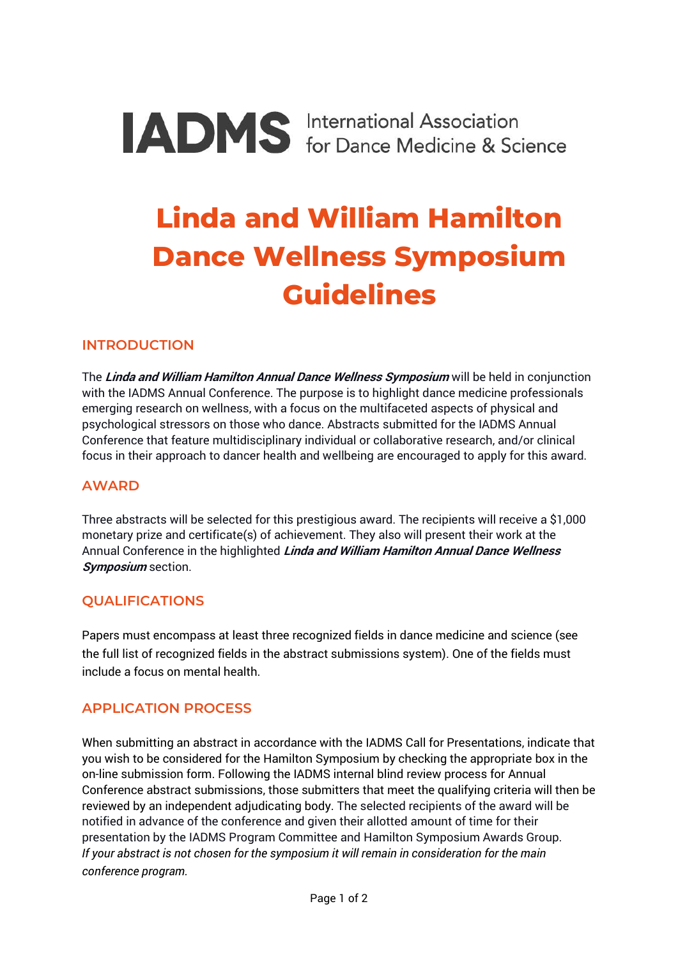# **IADMS** International Association

# **Linda and William Hamilton Dance Wellness Symposium Guidelines**

#### **INTRODUCTION**

The **Linda and William Hamilton Annual Dance Wellness Symposium** will be held in conjunction with the IADMS Annual Conference. The purpose is to highlight dance medicine professionals emerging research on wellness, with a focus on the multifaceted aspects of physical and psychological stressors on those who dance. Abstracts submitted for the IADMS Annual Conference that feature multidisciplinary individual or collaborative research, and/or clinical focus in their approach to dancer health and wellbeing are encouraged to apply for this award.

#### **AWARD**

Three abstracts will be selected for this prestigious award. The recipients will receive a \$1,000 monetary prize and certificate(s) of achievement. They also will present their work at the Annual Conference in the highlighted **Linda and William Hamilton Annual Dance Wellness Symposium** section.

## **QUALIFICATIONS**

Papers must encompass at least three recognized fields in dance medicine and science (see the full list of recognized fields in the abstract submissions system). One of the fields must include a focus on mental health.

#### **APPLICATION PROCESS**

When submitting an abstract in accordance with the IADMS Call for Presentations, indicate that you wish to be considered for the Hamilton Symposium by checking the appropriate box in the on-line submission form. Following the IADMS internal blind review process for Annual Conference abstract submissions, those submitters that meet the qualifying criteria will then be reviewed by an independent adjudicating body. The selected recipients of the award will be notified in advance of the conference and given their allotted amount of time for their presentation by the IADMS Program Committee and Hamilton Symposium Awards Group. *If your abstract is not chosen for the symposium it will remain in consideration for the main conference program.*